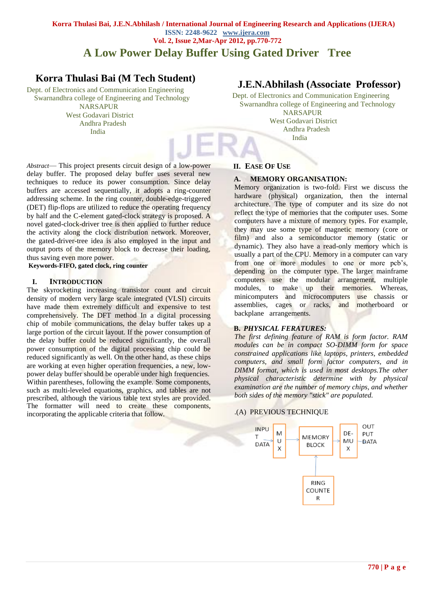## **Korra Thulasi Bai, J.E.N.Abhilash / International Journal of Engineering Research and Applications (IJERA) ISSN: 2248-9622 www.ijera.com Vol. 2, Issue 2,Mar-Apr 2012, pp.770-772**

# **A Low Power Delay Buffer Using Gated Driver Tree**

# **Korra Thulasi Bai (M Tech Student)**

Dept. of Electronics and Communication Engineering Swarnandhra college of Engineering and Technology

 NARSAPUR West Godavari District Andhra Pradesh India

# **J.E.N.Abhilash (Associate Professor)**

Dept. of Electronics and Communication Engineering Swarnandhra college of Engineering and Technology **NARSAPUR**  West Godavari District Andhra Pradesh India

*Abstract*— This project presents circuit design of a low-power delay buffer. The proposed delay buffer uses several new techniques to reduce its power consumption. Since delay buffers are accessed sequentially, it adopts a ring-counter addressing scheme. In the ring counter, double-edge-triggered (DET) flip-flops are utilized to reduce the operating frequency by half and the C-element gated-clock strategy is proposed. A novel gated-clock-driver tree is then applied to further reduce the activity along the clock distribution network. Moreover, the gated-driver-tree idea is also employed in the input and output ports of the memory block to decrease their loading, thus saving even more power.

**Keywords-FIFO, gated clock, ring counter**

#### **I. INTRODUCTION**

The skyrocketing increasing transistor count and circuit density of modern very large scale integrated (VLSI) circuits have made them extremely difficult and expensive to test comprehensively. The DFT method In a digital processing chip of mobile communications, the delay buffer takes up a large portion of the circuit layout. If the power consumption of the delay buffer could be reduced significantly, the overall power consumption of the digital processing chip could be reduced significantly as well. On the other hand, as these chips are working at even higher operation frequencies, a new, lowpower delay buffer should be operable under high frequencies. Within parentheses, following the example. Some components, such as multi-leveled equations, graphics, and tables are not prescribed, although the various table text styles are provided. The formatter will need to create these components, incorporating the applicable criteria that follow.

#### **II. EASE OF USE**

## **A. MEMORY ORGANISATION:**

Memory organization is two-fold. First we discuss the hardware (physical) organization, then the internal architecture. The type of computer and its size do not reflect the type of memories that the computer uses. Some computers have a mixture of memory types. For example, they may use some type of magnetic memory (core or film) and also a semiconductor memory (static or dynamic). They also have a read-only memory which is usually a part of the CPU. Memory in a computer can vary from one or more modules to one or more pcb's, depending on the computer type. The larger mainframe computers use the modular arrangement, multiple modules, to make up their memories. Whereas, minicomputers and microcomputers use chassis or assemblies, cages or racks, and motherboard or backplane arrangements.

### **B.** *PHYSICAL FERATURES:*

*The first defining feature of RAM is form factor. RAM modules can be in compact SO-DIMM form for space constrained applications like laptops, printers, embedded computers, and small form factor computers, and in DIMM format, which is used in most desktops.The other physical characteristic determine with by physical examination are the number of memory chips, and whether both sides of the memory "stick" are populated.*

#### .(A) PREVIOUS TECHNIQUE

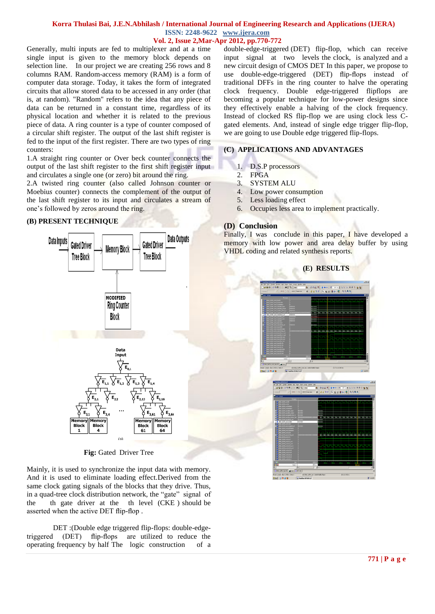### **Korra Thulasi Bai, J.E.N.Abhilash / International Journal of Engineering Research and Applications (IJERA) ISSN: 2248-9622 www.ijera.com**

## **Vol. 2, Issue 2,Mar-Apr 2012, pp.770-772**

Generally, multi inputs are fed to multiplexer and at a time single input is given to the memory block depends on selection line. In our project we are creating 256 rows and 8 columns RAM. Random-access memory (RAM) is a form of computer data storage. Today, it takes the form of integrated circuits that allow stored data to be accessed in any order (that is, at random). "Random" refers to the idea that any piece of data can be returned in a constant time, regardless of its physical location and whether it is related to the previous piece of data. A ring counter is a type of counter composed of a circular shift register. The output of the last shift register is fed to the input of the first register. There are two types of ring counters:

1.A straight ring counter or Over beck counter connects the output of the last shift register to the first shift register input and circulates a single one (or zero) bit around the ring.

2.A twisted ring counter (also called Johnson counter or Moebiu*s* counter) connects the complement of the output of the last shift register to its input and circulates a stream of one's followed by zeros around the ring.

#### **(B) PRESENT TECHNIQUE**



**Fig:** Gated Driver Tree

Mainly, it is used to synchronize the input data with memory. And it is used to eliminate loading effect.Derived from the same clock gating signals of the blocks that they drive. Thus, in a quad-tree clock distribution network, the "gate" signal of the th gate driver at the th level (CKE ) should be asserted when the active DET flip-flop .

DET :(Double edge triggered flip-flops: double-edgetriggered (DET) flip-flops are utilized to reduce the operating frequency by half The logic construction of a

double-edge-triggered (DET) flip-flop, which can receive input signal at two levels the clock, is analyzed and a new circuit design of CMOS DET In this paper, we propose to use double-edge-triggered (DET) flip-flops instead of traditional DFFs in the ring counter to halve the operating clock frequency. Double edge-triggered flipflops are becoming a popular technique for low-power designs since they effectively enable a halving of the clock frequency. Instead of clocked RS flip-flop we are using clock less Cgated elements. And, instead of single edge trigger flip-flop, we are going to use Double edge triggered flip-flops.

# **(C) APPLICATIONS AND ADVANTAGES**

- 1. D.S.P processors
- 2. FPGA
- 3. SYSTEM ALU
- 4. Low power consumption
- 5. Less loading effect
- 6. Occupies less area to implement practically.

## **(D) Conclusion**

Finally, I was conclude in this paper, I have developed a memory with low power and area delay buffer by using VHDL coding and related synthesis reports.